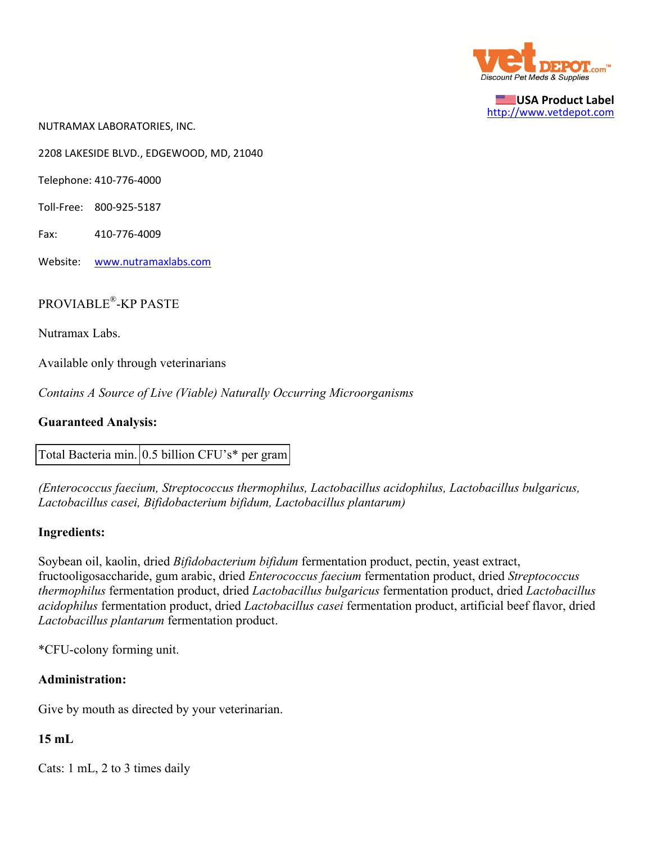

**USA Product Label** http://www.vetdepot.com

NUTRAMAX LABORATORIES, INC.

2208 LAKESIDE BLVD., EDGEWOOD, MD, 21040

Telephone: 410‐776‐4000

- Toll‐Free: 800‐925‐5187
- Fax: 410‐776‐4009
- Website: www.nutramaxlabs.com

# PROVIABLE®-KP PASTE

Nutramax Labs.

Available only through veterinarians

*Contains A Source of Live (Viable) Naturally Occurring Microorganisms*

### **Guaranteed Analysis:**

Total Bacteria min. 0.5 billion CFU's\* per gram

*(Enterococcus faecium, Streptococcus thermophilus, Lactobacillus acidophilus, Lactobacillus bulgaricus, Lactobacillus casei, Bifidobacterium bifidum, Lactobacillus plantarum)*

### **Ingredients:**

Soybean oil, kaolin, dried *Bifidobacterium bifidum* fermentation product, pectin, yeast extract, fructooligosaccharide, gum arabic, dried *Enterococcus faecium* fermentation product, dried *Streptococcus thermophilus* fermentation product, dried *Lactobacillus bulgaricus* fermentation product, dried *Lactobacillus acidophilus* fermentation product, dried *Lactobacillus casei* fermentation product, artificial beef flavor, dried *Lactobacillus plantarum* fermentation product.

\*CFU-colony forming unit.

## **Administration:**

Give by mouth as directed by your veterinarian.

### **15 mL**

Cats: 1 mL, 2 to 3 times daily